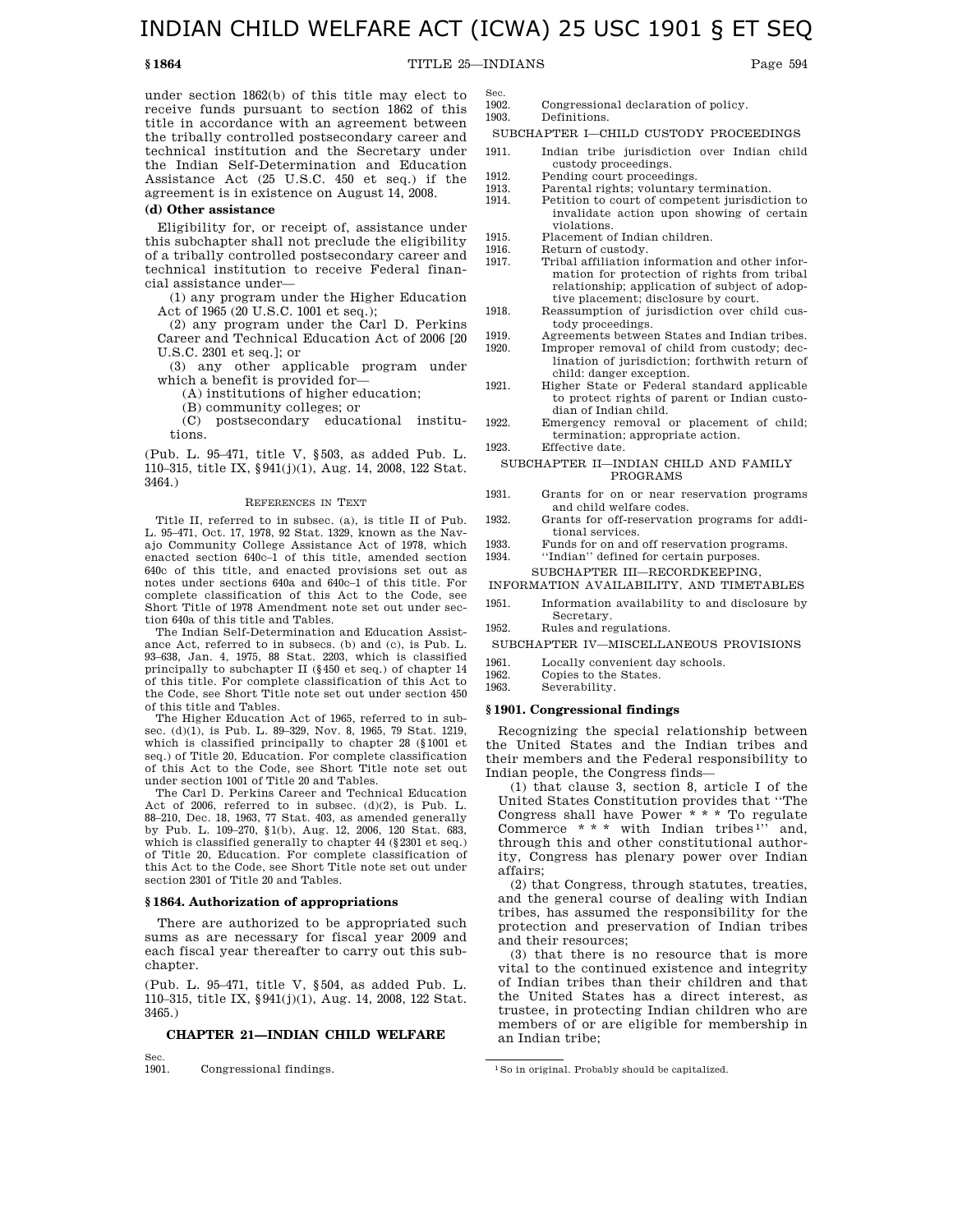**§ 1864** TITLE 25—INDIANS Page 594

under section 1862(b) of this title may elect to receive funds pursuant to section 1862 of this title in accordance with an agreement between the tribally controlled postsecondary career and technical institution and the Secretary under the Indian Self-Determination and Education Assistance Act (25 U.S.C. 450 et seq.) if the agreement is in existence on August 14, 2008.

# **(d) Other assistance**

Eligibility for, or receipt of, assistance under this subchapter shall not preclude the eligibility of a tribally controlled postsecondary career and technical institution to receive Federal financial assistance under—

(1) any program under the Higher Education Act of 1965 (20 U.S.C. 1001 et seq.);

(2) any program under the Carl D. Perkins Career and Technical Education Act of 2006 [20 U.S.C. 2301 et seq.]; or

(3) any other applicable program under which a benefit is provided for—

(A) institutions of higher education;

(B) community colleges; or

(C) postsecondary educational institutions.

(Pub. L. 95–471, title V, § 503, as added Pub. L. 110–315, title IX, §941(j)(1), Aug. 14, 2008, 122 Stat. 3464.)

#### REFERENCES IN TEXT

Title II, referred to in subsec. (a), is title II of Pub. L. 95–471, Oct. 17, 1978, 92 Stat. 1329, known as the Navajo Community College Assistance Act of 1978, which enacted section 640c–1 of this title, amended section 640c of this title, and enacted provisions set out as notes under sections 640a and 640c–1 of this title. For complete classification of this Act to the Code, see Short Title of 1978 Amendment note set out under section 640a of this title and Tables.

The Indian Self-Determination and Education Assistance Act, referred to in subsecs. (b) and (c), is Pub. L. 93–638, Jan. 4, 1975, 88 Stat. 2203, which is classified principally to subchapter II (§450 et seq.) of chapter 14 of this title. For complete classification of this Act to the Code, see Short Title note set out under section 450 of this title and Tables.

The Higher Education Act of 1965, referred to in subsec. (d)(1), is Pub. L. 89–329, Nov. 8, 1965, 79 Stat. 1219, which is classified principally to chapter 28 (§1001 et seq.) of Title 20, Education. For complete classification of this Act to the Code, see Short Title note set out under section 1001 of Title 20 and Tables.

The Carl D. Perkins Career and Technical Education Act of 2006, referred to in subsec. (d)(2), is Pub. L. 88–210, Dec. 18, 1963, 77 Stat. 403, as amended generally by Pub. L. 109–270, §1(b), Aug. 12, 2006, 120 Stat. 683, which is classified generally to chapter 44 (§2301 et seq.) of Title 20, Education. For complete classification of this Act to the Code, see Short Title note set out under section 2301 of Title 20 and Tables.

#### **§ 1864. Authorization of appropriations**

There are authorized to be appropriated such sums as are necessary for fiscal year 2009 and each fiscal year thereafter to carry out this subchapter.

(Pub. L. 95–471, title V, § 504, as added Pub. L. 110–315, title IX, §941(j)(1), Aug. 14, 2008, 122 Stat. 3465.)

# **CHAPTER 21—INDIAN CHILD WELFARE**

Sec.<br>1901.

Congressional findings.

Sec.<br>1902 1902. Congressional declaration of policy.<br>1903. Definitions.

Definitions.

SUBCHAPTER I—CHILD CUSTODY PROCEEDINGS

- 1911. Indian tribe jurisdiction over Indian child custody proceedings.
- 1912. Pending court proceedings.<br>1913. Parental rights: voluntary
- 1913. Parental rights; voluntary termination.<br>1914. Petition to court of competent jurisdict
	- Petition to court of competent jurisdiction to invalidate action upon showing of certain violations.
- 1915. Placement of Indian children.<br>1916. Return of custody.
- 1916. Return of custody.<br>1917. Tribal affiliation is
	- Tribal affiliation information and other information for protection of rights from tribal relationship; application of subject of adoptive placement; disclosure by court.
- 1918. Reassumption of jurisdiction over child custody proceedings.
- 1919. Agreements between States and Indian tribes.<br>1920. Improper removal of child from custody: dec-
	- Improper removal of child from custody; declination of jurisdiction; forthwith return of child: danger exception.
- 1921. Higher State or Federal standard applicable to protect rights of parent or Indian custodian of Indian child.
- 1922. Emergency removal or placement of child; termination; appropriate action.
- 1923. Effective date.
- SUBCHAPTER II—INDIAN CHILD AND FAMILY PROGRAMS
- 1931. Grants for on or near reservation programs and child welfare codes.
- 1932. Grants for off-reservation programs for additional services.
- 1933. Funds for on and off reservation programs.
- 1934. ''Indian'' defined for certain purposes.
- SUBCHAPTER III—RECORDKEEPING,
- INFORMATION AVAILABILITY, AND TIMETABLES 1951. Information availability to and disclosure by Secretary.
- 1952. Rules and regulations.

SUBCHAPTER IV—MISCELLANEOUS PROVISIONS

1961. Locally convenient day schools.

- 1962. Copies to the States.
- 1963. Severability.

# **§ 1901. Congressional findings**

Recognizing the special relationship between the United States and the Indian tribes and their members and the Federal responsibility to Indian people, the Congress finds—

(1) that clause 3, section 8, article I of the United States Constitution provides that ''The Congress shall have Power \* \* \* To regulate Commerce \*\*\* with Indian tribes<sup>1</sup>" and, through this and other constitutional authority, Congress has plenary power over Indian affairs;

(2) that Congress, through statutes, treaties, and the general course of dealing with Indian tribes, has assumed the responsibility for the protection and preservation of Indian tribes and their resources;

(3) that there is no resource that is more vital to the continued existence and integrity of Indian tribes than their children and that the United States has a direct interest, as trustee, in protecting Indian children who are members of or are eligible for membership in an Indian tribe;

<sup>1</sup>So in original. Probably should be capitalized.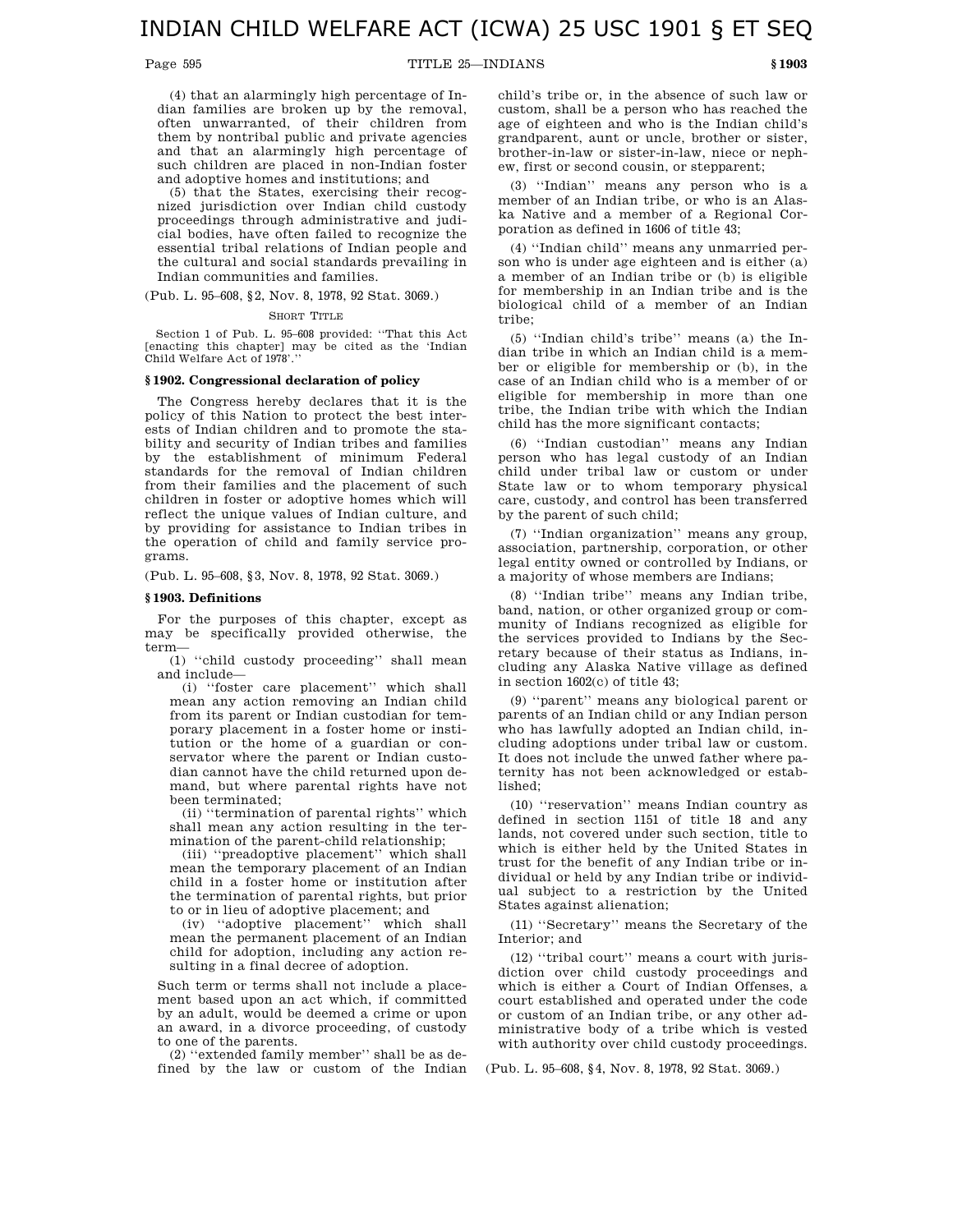Page 595 TITLE 25—INDIANS **§ 1903** 

(4) that an alarmingly high percentage of Indian families are broken up by the removal, often unwarranted, of their children from them by nontribal public and private agencies and that an alarmingly high percentage of such children are placed in non-Indian foster and adoptive homes and institutions; and

(5) that the States, exercising their recognized jurisdiction over Indian child custody proceedings through administrative and judicial bodies, have often failed to recognize the essential tribal relations of Indian people and the cultural and social standards prevailing in Indian communities and families.

(Pub. L. 95–608, §2, Nov. 8, 1978, 92 Stat. 3069.)

#### SHORT TITLE

Section 1 of Pub. L. 95–608 provided: ''That this Act [enacting this chapter] may be cited as the 'Indian Child Welfare Act of 1978'.''

#### **§ 1902. Congressional declaration of policy**

The Congress hereby declares that it is the policy of this Nation to protect the best interests of Indian children and to promote the stability and security of Indian tribes and families by the establishment of minimum Federal standards for the removal of Indian children from their families and the placement of such children in foster or adoptive homes which will reflect the unique values of Indian culture, and by providing for assistance to Indian tribes in the operation of child and family service programs.

(Pub. L. 95–608, § 3, Nov. 8, 1978, 92 Stat. 3069.)

# **§ 1903. Definitions**

For the purposes of this chapter, except as may be specifically provided otherwise, the term—

(1) ''child custody proceeding'' shall mean and include—

(i) ''foster care placement'' which shall mean any action removing an Indian child from its parent or Indian custodian for temporary placement in a foster home or institution or the home of a guardian or conservator where the parent or Indian custodian cannot have the child returned upon demand, but where parental rights have not been terminated;

(ii) ''termination of parental rights'' which shall mean any action resulting in the termination of the parent-child relationship;

(iii) ''preadoptive placement'' which shall mean the temporary placement of an Indian child in a foster home or institution after the termination of parental rights, but prior to or in lieu of adoptive placement; and

(iv) ''adoptive placement'' which shall mean the permanent placement of an Indian child for adoption, including any action resulting in a final decree of adoption.

Such term or terms shall not include a placement based upon an act which, if committed by an adult, would be deemed a crime or upon an award, in a divorce proceeding, of custody to one of the parents.

(2) ''extended family member'' shall be as defined by the law or custom of the Indian child's tribe or, in the absence of such law or custom, shall be a person who has reached the age of eighteen and who is the Indian child's grandparent, aunt or uncle, brother or sister, brother-in-law or sister-in-law, niece or nephew, first or second cousin, or stepparent;

(3) ''Indian'' means any person who is a member of an Indian tribe, or who is an Alaska Native and a member of a Regional Corporation as defined in 1606 of title 43;

(4) ''Indian child'' means any unmarried person who is under age eighteen and is either (a) a member of an Indian tribe or (b) is eligible for membership in an Indian tribe and is the biological child of a member of an Indian tribe;

(5) ''Indian child's tribe'' means (a) the Indian tribe in which an Indian child is a member or eligible for membership or (b), in the case of an Indian child who is a member of or eligible for membership in more than one tribe, the Indian tribe with which the Indian child has the more significant contacts;

(6) ''Indian custodian'' means any Indian person who has legal custody of an Indian child under tribal law or custom or under State law or to whom temporary physical care, custody, and control has been transferred by the parent of such child;

(7) ''Indian organization'' means any group, association, partnership, corporation, or other legal entity owned or controlled by Indians, or a majority of whose members are Indians;

(8) ''Indian tribe'' means any Indian tribe, band, nation, or other organized group or community of Indians recognized as eligible for the services provided to Indians by the Secretary because of their status as Indians, including any Alaska Native village as defined in section 1602(c) of title 43;

(9) ''parent'' means any biological parent or parents of an Indian child or any Indian person who has lawfully adopted an Indian child, including adoptions under tribal law or custom. It does not include the unwed father where paternity has not been acknowledged or established;

(10) ''reservation'' means Indian country as defined in section 1151 of title 18 and any lands, not covered under such section, title to which is either held by the United States in trust for the benefit of any Indian tribe or individual or held by any Indian tribe or individual subject to a restriction by the United States against alienation;

(11) ''Secretary'' means the Secretary of the Interior; and

(12) ''tribal court'' means a court with jurisdiction over child custody proceedings and which is either a Court of Indian Offenses, a court established and operated under the code or custom of an Indian tribe, or any other administrative body of a tribe which is vested with authority over child custody proceedings.

(Pub. L. 95–608, §4, Nov. 8, 1978, 92 Stat. 3069.)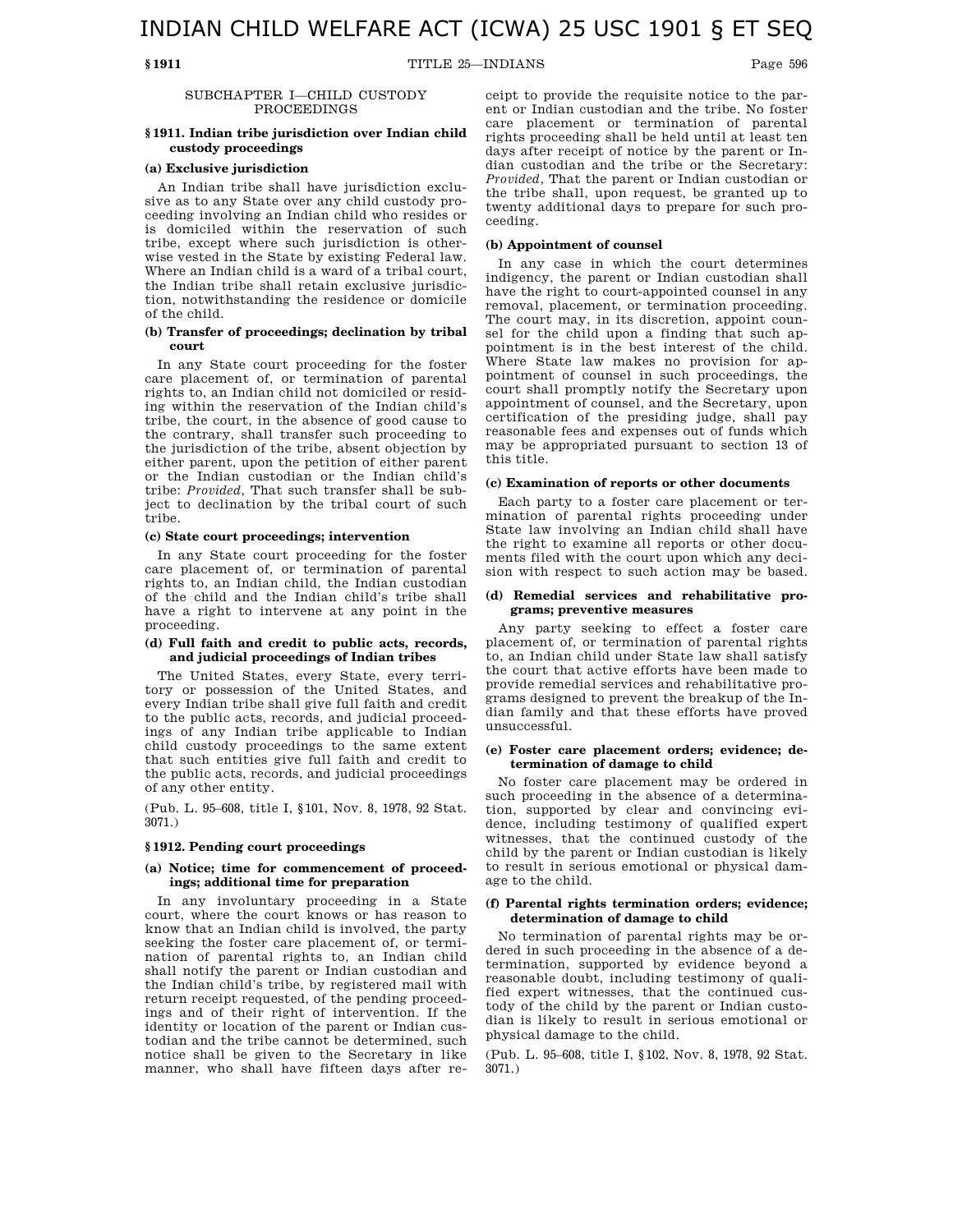**§ 1911** TITLE 25—INDIANS Page 596

# SUBCHAPTER I—CHILD CUSTODY **PROCEEDINGS**

#### **§ 1911. Indian tribe jurisdiction over Indian child custody proceedings**

# **(a) Exclusive jurisdiction**

An Indian tribe shall have jurisdiction exclusive as to any State over any child custody proceeding involving an Indian child who resides or is domiciled within the reservation of such tribe, except where such jurisdiction is otherwise vested in the State by existing Federal law. Where an Indian child is a ward of a tribal court, the Indian tribe shall retain exclusive jurisdiction, notwithstanding the residence or domicile of the child.

# **(b) Transfer of proceedings; declination by tribal court**

In any State court proceeding for the foster care placement of, or termination of parental rights to, an Indian child not domiciled or residing within the reservation of the Indian child's tribe, the court, in the absence of good cause to the contrary, shall transfer such proceeding to the jurisdiction of the tribe, absent objection by either parent, upon the petition of either parent or the Indian custodian or the Indian child's tribe: *Provided*, That such transfer shall be subject to declination by the tribal court of such tribe.

# **(c) State court proceedings; intervention**

In any State court proceeding for the foster care placement of, or termination of parental rights to, an Indian child, the Indian custodian of the child and the Indian child's tribe shall have a right to intervene at any point in the proceeding.

# **(d) Full faith and credit to public acts, records, and judicial proceedings of Indian tribes**

The United States, every State, every territory or possession of the United States, and every Indian tribe shall give full faith and credit to the public acts, records, and judicial proceedings of any Indian tribe applicable to Indian child custody proceedings to the same extent that such entities give full faith and credit to the public acts, records, and judicial proceedings of any other entity.

(Pub. L. 95–608, title I, §101, Nov. 8, 1978, 92 Stat. 3071.)

# **§ 1912. Pending court proceedings**

### **(a) Notice; time for commencement of proceedings; additional time for preparation**

In any involuntary proceeding in a State court, where the court knows or has reason to know that an Indian child is involved, the party seeking the foster care placement of, or termination of parental rights to, an Indian child shall notify the parent or Indian custodian and the Indian child's tribe, by registered mail with return receipt requested, of the pending proceedings and of their right of intervention. If the identity or location of the parent or Indian custodian and the tribe cannot be determined, such notice shall be given to the Secretary in like manner, who shall have fifteen days after receipt to provide the requisite notice to the parent or Indian custodian and the tribe. No foster care placement or termination of parental rights proceeding shall be held until at least ten days after receipt of notice by the parent or Indian custodian and the tribe or the Secretary: *Provided*, That the parent or Indian custodian or the tribe shall, upon request, be granted up to twenty additional days to prepare for such proceeding.

# **(b) Appointment of counsel**

In any case in which the court determines indigency, the parent or Indian custodian shall have the right to court-appointed counsel in any removal, placement, or termination proceeding. The court may, in its discretion, appoint counsel for the child upon a finding that such appointment is in the best interest of the child. Where State law makes no provision for appointment of counsel in such proceedings, the court shall promptly notify the Secretary upon appointment of counsel, and the Secretary, upon certification of the presiding judge, shall pay reasonable fees and expenses out of funds which may be appropriated pursuant to section 13 of this title.

#### **(c) Examination of reports or other documents**

Each party to a foster care placement or termination of parental rights proceeding under State law involving an Indian child shall have the right to examine all reports or other documents filed with the court upon which any decision with respect to such action may be based.

# **(d) Remedial services and rehabilitative programs; preventive measures**

Any party seeking to effect a foster care placement of, or termination of parental rights to, an Indian child under State law shall satisfy the court that active efforts have been made to provide remedial services and rehabilitative programs designed to prevent the breakup of the Indian family and that these efforts have proved unsuccessful.

### **(e) Foster care placement orders; evidence; determination of damage to child**

No foster care placement may be ordered in such proceeding in the absence of a determination, supported by clear and convincing evidence, including testimony of qualified expert witnesses, that the continued custody of the child by the parent or Indian custodian is likely to result in serious emotional or physical damage to the child.

# **(f) Parental rights termination orders; evidence; determination of damage to child**

No termination of parental rights may be ordered in such proceeding in the absence of a determination, supported by evidence beyond a reasonable doubt, including testimony of qualified expert witnesses, that the continued custody of the child by the parent or Indian custodian is likely to result in serious emotional or physical damage to the child.

(Pub. L. 95–608, title I, §102, Nov. 8, 1978, 92 Stat. 3071.)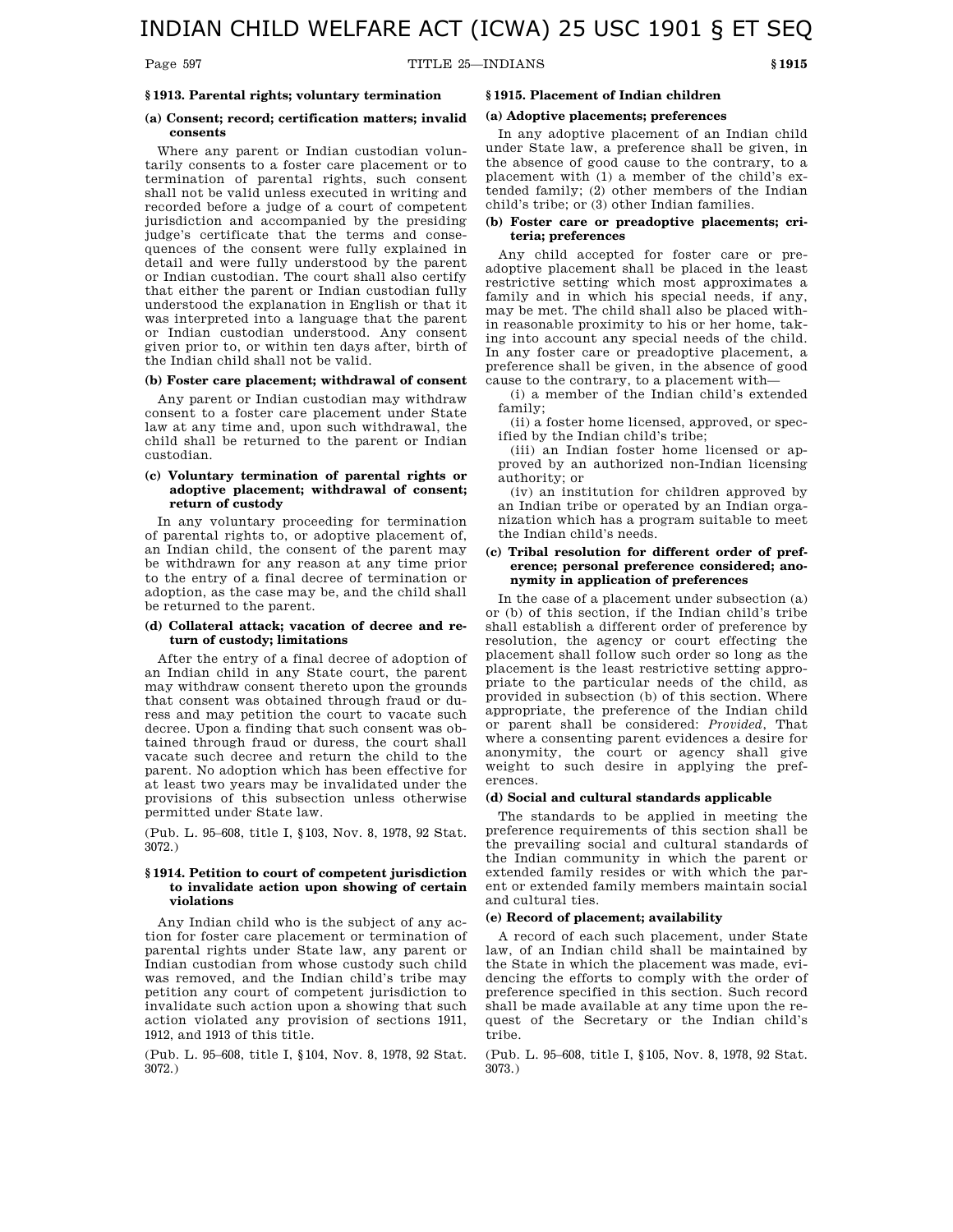Page 597 **Figure 10.1 SET 25** TITLE 25—INDIANS **§ 1915** 

# **§ 1913. Parental rights; voluntary termination**

# **(a) Consent; record; certification matters; invalid consents**

Where any parent or Indian custodian voluntarily consents to a foster care placement or to termination of parental rights, such consent shall not be valid unless executed in writing and recorded before a judge of a court of competent jurisdiction and accompanied by the presiding judge's certificate that the terms and consequences of the consent were fully explained in detail and were fully understood by the parent or Indian custodian. The court shall also certify that either the parent or Indian custodian fully understood the explanation in English or that it was interpreted into a language that the parent or Indian custodian understood. Any consent given prior to, or within ten days after, birth of the Indian child shall not be valid.

# **(b) Foster care placement; withdrawal of consent**

Any parent or Indian custodian may withdraw consent to a foster care placement under State law at any time and, upon such withdrawal, the child shall be returned to the parent or Indian custodian.

# **(c) Voluntary termination of parental rights or adoptive placement; withdrawal of consent; return of custody**

In any voluntary proceeding for termination of parental rights to, or adoptive placement of, an Indian child, the consent of the parent may be withdrawn for any reason at any time prior to the entry of a final decree of termination or adoption, as the case may be, and the child shall be returned to the parent.

# **(d) Collateral attack; vacation of decree and return of custody; limitations**

After the entry of a final decree of adoption of an Indian child in any State court, the parent may withdraw consent thereto upon the grounds that consent was obtained through fraud or duress and may petition the court to vacate such decree. Upon a finding that such consent was obtained through fraud or duress, the court shall vacate such decree and return the child to the parent. No adoption which has been effective for at least two years may be invalidated under the provisions of this subsection unless otherwise permitted under State law.

(Pub. L. 95–608, title I, §103, Nov. 8, 1978, 92 Stat. 3072.)

# **§ 1914. Petition to court of competent jurisdiction to invalidate action upon showing of certain violations**

Any Indian child who is the subject of any action for foster care placement or termination of parental rights under State law, any parent or Indian custodian from whose custody such child was removed, and the Indian child's tribe may petition any court of competent jurisdiction to invalidate such action upon a showing that such action violated any provision of sections 1911, 1912, and 1913 of this title.

(Pub. L. 95–608, title I, §104, Nov. 8, 1978, 92 Stat. 3072.)

# **§ 1915. Placement of Indian children**

#### **(a) Adoptive placements; preferences**

In any adoptive placement of an Indian child under State law, a preference shall be given, in the absence of good cause to the contrary, to a placement with (1) a member of the child's extended family; (2) other members of the Indian child's tribe; or (3) other Indian families.

# **(b) Foster care or preadoptive placements; criteria; preferences**

Any child accepted for foster care or preadoptive placement shall be placed in the least restrictive setting which most approximates a family and in which his special needs, if any, may be met. The child shall also be placed within reasonable proximity to his or her home, taking into account any special needs of the child. In any foster care or preadoptive placement, a preference shall be given, in the absence of good cause to the contrary, to a placement with—

(i) a member of the Indian child's extended family;

(ii) a foster home licensed, approved, or specified by the Indian child's tribe;

(iii) an Indian foster home licensed or approved by an authorized non-Indian licensing authority; or

(iv) an institution for children approved by an Indian tribe or operated by an Indian organization which has a program suitable to meet the Indian child's needs.

# **(c) Tribal resolution for different order of preference; personal preference considered; anonymity in application of preferences**

In the case of a placement under subsection (a) or (b) of this section, if the Indian child's tribe shall establish a different order of preference by resolution, the agency or court effecting the placement shall follow such order so long as the placement is the least restrictive setting appropriate to the particular needs of the child, as provided in subsection (b) of this section. Where appropriate, the preference of the Indian child or parent shall be considered: *Provided*, That where a consenting parent evidences a desire for anonymity, the court or agency shall give weight to such desire in applying the preferences.

#### **(d) Social and cultural standards applicable**

The standards to be applied in meeting the preference requirements of this section shall be the prevailing social and cultural standards of the Indian community in which the parent or extended family resides or with which the parent or extended family members maintain social and cultural ties.

### **(e) Record of placement; availability**

A record of each such placement, under State law, of an Indian child shall be maintained by the State in which the placement was made, evidencing the efforts to comply with the order of preference specified in this section. Such record shall be made available at any time upon the request of the Secretary or the Indian child's tribe.

(Pub. L. 95–608, title I, §105, Nov. 8, 1978, 92 Stat. 3073.)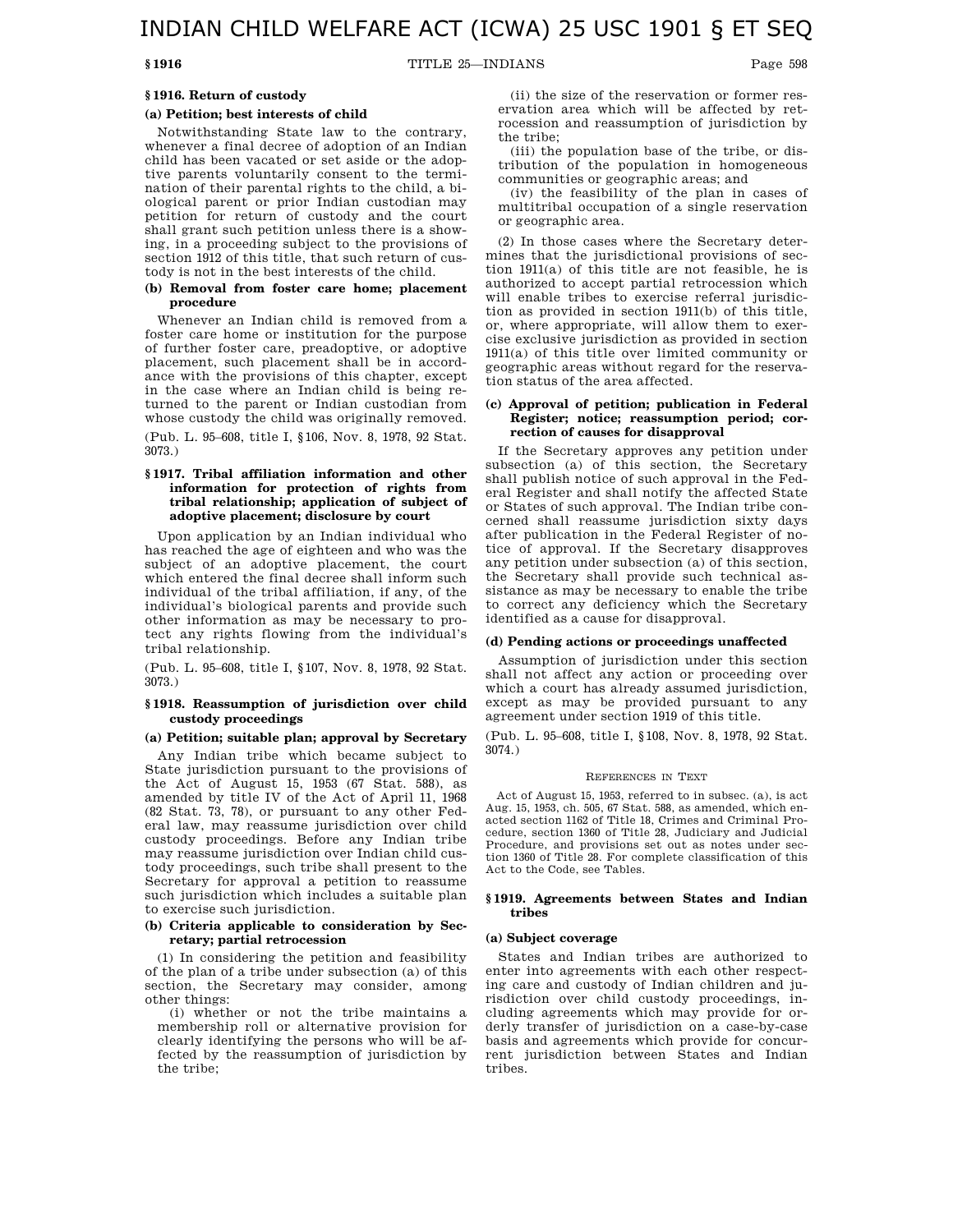**§ 1916** TITLE 25—INDIANS Page 598

# **§ 1916. Return of custody**

#### **(a) Petition; best interests of child**

Notwithstanding State law to the contrary, whenever a final decree of adoption of an Indian child has been vacated or set aside or the adoptive parents voluntarily consent to the termination of their parental rights to the child, a biological parent or prior Indian custodian may petition for return of custody and the court shall grant such petition unless there is a showing, in a proceeding subject to the provisions of section 1912 of this title, that such return of custody is not in the best interests of the child.

# **(b) Removal from foster care home; placement procedure**

Whenever an Indian child is removed from a foster care home or institution for the purpose of further foster care, preadoptive, or adoptive placement, such placement shall be in accordance with the provisions of this chapter, except in the case where an Indian child is being returned to the parent or Indian custodian from whose custody the child was originally removed.

(Pub. L. 95–608, title I, §106, Nov. 8, 1978, 92 Stat. 3073.)

# **§ 1917. Tribal affiliation information and other information for protection of rights from tribal relationship; application of subject of adoptive placement; disclosure by court**

Upon application by an Indian individual who has reached the age of eighteen and who was the subject of an adoptive placement, the court which entered the final decree shall inform such individual of the tribal affiliation, if any, of the individual's biological parents and provide such other information as may be necessary to protect any rights flowing from the individual's tribal relationship.

(Pub. L. 95–608, title I, §107, Nov. 8, 1978, 92 Stat. 3073.)

# **§ 1918. Reassumption of jurisdiction over child custody proceedings**

**(a) Petition; suitable plan; approval by Secretary**

Any Indian tribe which became subject to State jurisdiction pursuant to the provisions of the Act of August 15, 1953 (67 Stat. 588), as amended by title IV of the Act of April 11, 1968 (82 Stat. 73, 78), or pursuant to any other Federal law, may reassume jurisdiction over child custody proceedings. Before any Indian tribe may reassume jurisdiction over Indian child custody proceedings, such tribe shall present to the Secretary for approval a petition to reassume such jurisdiction which includes a suitable plan to exercise such jurisdiction.

# **(b) Criteria applicable to consideration by Secretary; partial retrocession**

(1) In considering the petition and feasibility of the plan of a tribe under subsection (a) of this section, the Secretary may consider, among other things:

(i) whether or not the tribe maintains a membership roll or alternative provision for clearly identifying the persons who will be affected by the reassumption of jurisdiction by the tribe;

(ii) the size of the reservation or former reservation area which will be affected by retrocession and reassumption of jurisdiction by the tribe;

(iii) the population base of the tribe, or distribution of the population in homogeneous communities or geographic areas; and

(iv) the feasibility of the plan in cases of multitribal occupation of a single reservation or geographic area.

(2) In those cases where the Secretary determines that the jurisdictional provisions of section 1911(a) of this title are not feasible, he is authorized to accept partial retrocession which will enable tribes to exercise referral jurisdiction as provided in section 1911(b) of this title, or, where appropriate, will allow them to exercise exclusive jurisdiction as provided in section 1911(a) of this title over limited community or geographic areas without regard for the reservation status of the area affected.

#### **(c) Approval of petition; publication in Federal Register; notice; reassumption period; correction of causes for disapproval**

If the Secretary approves any petition under subsection (a) of this section, the Secretary shall publish notice of such approval in the Federal Register and shall notify the affected State or States of such approval. The Indian tribe concerned shall reassume jurisdiction sixty days after publication in the Federal Register of notice of approval. If the Secretary disapproves any petition under subsection (a) of this section, the Secretary shall provide such technical assistance as may be necessary to enable the tribe to correct any deficiency which the Secretary identified as a cause for disapproval.

#### **(d) Pending actions or proceedings unaffected**

Assumption of jurisdiction under this section shall not affect any action or proceeding over which a court has already assumed jurisdiction, except as may be provided pursuant to any agreement under section 1919 of this title.

(Pub. L. 95–608, title I, §108, Nov. 8, 1978, 92 Stat. 3074.)

#### REFERENCES IN TEXT

Act of August 15, 1953, referred to in subsec. (a), is act Aug. 15, 1953, ch. 505, 67 Stat. 588, as amended, which enacted section 1162 of Title 18, Crimes and Criminal Procedure, section 1360 of Title 28, Judiciary and Judicial Procedure, and provisions set out as notes under section 1360 of Title 28. For complete classification of this Act to the Code, see Tables.

#### **§ 1919. Agreements between States and Indian tribes**

#### **(a) Subject coverage**

States and Indian tribes are authorized to enter into agreements with each other respecting care and custody of Indian children and jurisdiction over child custody proceedings, including agreements which may provide for orderly transfer of jurisdiction on a case-by-case basis and agreements which provide for concurrent jurisdiction between States and Indian tribes.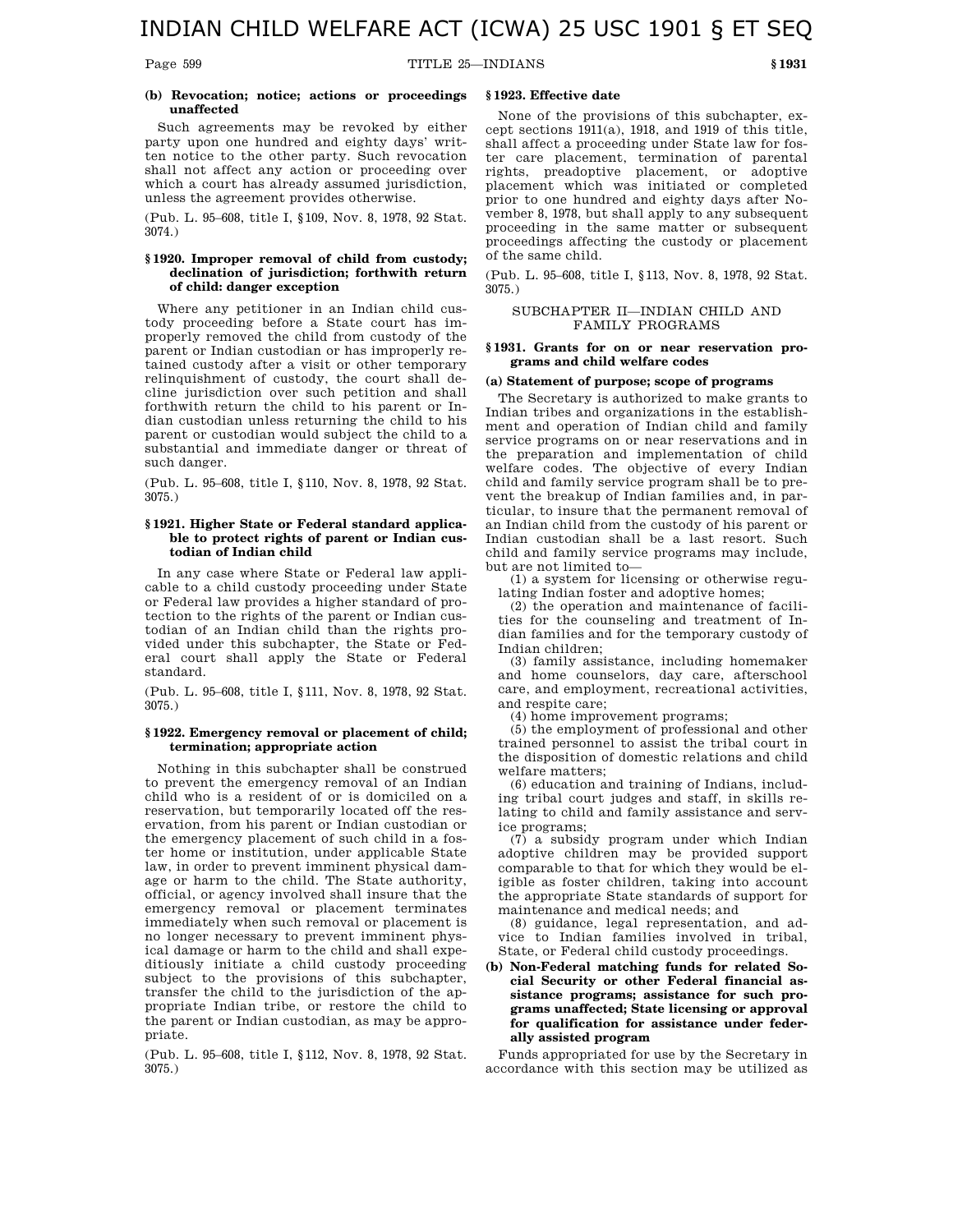Page 599 TITLE 25—INDIANS **§ 1931** 

# **(b) Revocation; notice; actions or proceedings unaffected**

Such agreements may be revoked by either party upon one hundred and eighty days' written notice to the other party. Such revocation shall not affect any action or proceeding over which a court has already assumed jurisdiction, unless the agreement provides otherwise.

(Pub. L. 95–608, title I, §109, Nov. 8, 1978, 92 Stat. 3074.)

# **§ 1920. Improper removal of child from custody; declination of jurisdiction; forthwith return of child: danger exception**

Where any petitioner in an Indian child custody proceeding before a State court has improperly removed the child from custody of the parent or Indian custodian or has improperly retained custody after a visit or other temporary relinquishment of custody, the court shall decline jurisdiction over such petition and shall forthwith return the child to his parent or Indian custodian unless returning the child to his parent or custodian would subject the child to a substantial and immediate danger or threat of such danger.

(Pub. L. 95–608, title I, §110, Nov. 8, 1978, 92 Stat. 3075.)

# **§ 1921. Higher State or Federal standard applicable to protect rights of parent or Indian custodian of Indian child**

In any case where State or Federal law applicable to a child custody proceeding under State or Federal law provides a higher standard of protection to the rights of the parent or Indian custodian of an Indian child than the rights provided under this subchapter, the State or Federal court shall apply the State or Federal standard.

(Pub. L. 95–608, title I, §111, Nov. 8, 1978, 92 Stat. 3075.)

# **§ 1922. Emergency removal or placement of child; termination; appropriate action**

Nothing in this subchapter shall be construed to prevent the emergency removal of an Indian child who is a resident of or is domiciled on a reservation, but temporarily located off the reservation, from his parent or Indian custodian or the emergency placement of such child in a foster home or institution, under applicable State law, in order to prevent imminent physical damage or harm to the child. The State authority, official, or agency involved shall insure that the emergency removal or placement terminates immediately when such removal or placement is no longer necessary to prevent imminent physical damage or harm to the child and shall expeditiously initiate a child custody proceeding subject to the provisions of this subchapter, transfer the child to the jurisdiction of the appropriate Indian tribe, or restore the child to the parent or Indian custodian, as may be appropriate.

(Pub. L. 95–608, title I, §112, Nov. 8, 1978, 92 Stat. 3075.)

# **§ 1923. Effective date**

None of the provisions of this subchapter, except sections 1911(a), 1918, and 1919 of this title, shall affect a proceeding under State law for foster care placement, termination of parental rights, preadoptive placement, or adoptive placement which was initiated or completed prior to one hundred and eighty days after November 8, 1978, but shall apply to any subsequent proceeding in the same matter or subsequent proceedings affecting the custody or placement of the same child.

(Pub. L. 95–608, title I, §113, Nov. 8, 1978, 92 Stat. 3075.)

# SUBCHAPTER II—INDIAN CHILD AND FAMILY PROGRAMS

# **§ 1931. Grants for on or near reservation programs and child welfare codes**

### **(a) Statement of purpose; scope of programs**

The Secretary is authorized to make grants to Indian tribes and organizations in the establishment and operation of Indian child and family service programs on or near reservations and in the preparation and implementation of child welfare codes. The objective of every Indian child and family service program shall be to prevent the breakup of Indian families and, in particular, to insure that the permanent removal of an Indian child from the custody of his parent or Indian custodian shall be a last resort. Such child and family service programs may include, but are not limited to—

(1) a system for licensing or otherwise regulating Indian foster and adoptive homes;

(2) the operation and maintenance of facilities for the counseling and treatment of Indian families and for the temporary custody of Indian children;

(3) family assistance, including homemaker and home counselors, day care, afterschool care, and employment, recreational activities, and respite care;

(4) home improvement programs;

(5) the employment of professional and other trained personnel to assist the tribal court in the disposition of domestic relations and child welfare matters;

(6) education and training of Indians, including tribal court judges and staff, in skills relating to child and family assistance and service programs;

(7) a subsidy program under which Indian adoptive children may be provided support comparable to that for which they would be eligible as foster children, taking into account the appropriate State standards of support for maintenance and medical needs; and

(8) guidance, legal representation, and advice to Indian families involved in tribal, State, or Federal child custody proceedings.

# **(b) Non-Federal matching funds for related Social Security or other Federal financial assistance programs; assistance for such programs unaffected; State licensing or approval for qualification for assistance under federally assisted program**

Funds appropriated for use by the Secretary in accordance with this section may be utilized as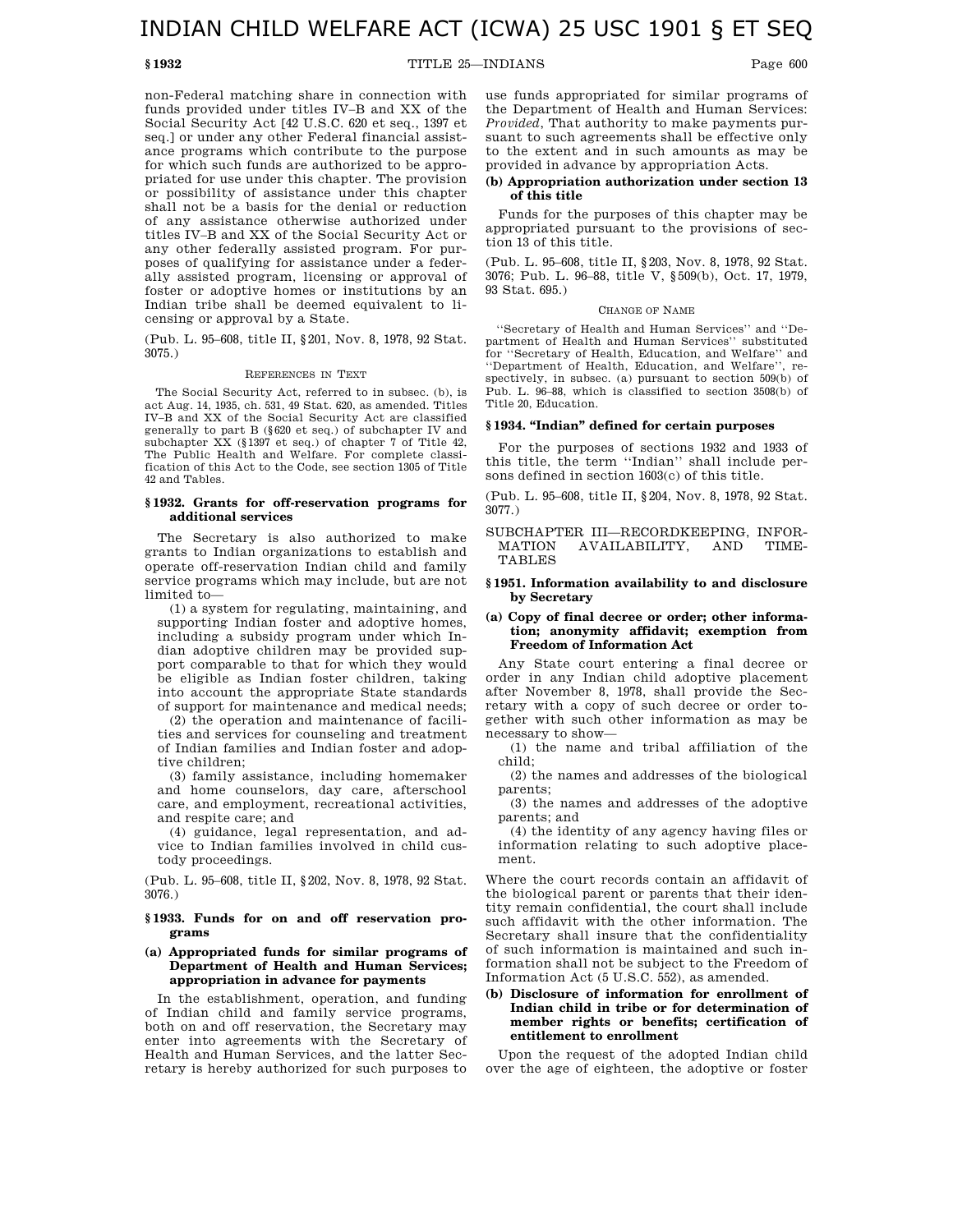# INDIAN CHILD WELFARE ACT (ICWA) 25 USC 1901 § ET SEQ

**§ 1932** TITLE 25—INDIANS Page 600

non-Federal matching share in connection with funds provided under titles IV–B and XX of the Social Security Act [42 U.S.C. 620 et seq., 1397 et seq.] or under any other Federal financial assistance programs which contribute to the purpose for which such funds are authorized to be appropriated for use under this chapter. The provision or possibility of assistance under this chapter shall not be a basis for the denial or reduction of any assistance otherwise authorized under titles IV–B and XX of the Social Security Act or any other federally assisted program. For purposes of qualifying for assistance under a federally assisted program, licensing or approval of foster or adoptive homes or institutions by an Indian tribe shall be deemed equivalent to licensing or approval by a State.

(Pub. L. 95–608, title II, §201, Nov. 8, 1978, 92 Stat. 3075.)

# REFERENCES IN TEXT

The Social Security Act, referred to in subsec. (b), is act Aug. 14, 1935, ch. 531, 49 Stat. 620, as amended. Titles IV–B and XX of the Social Security Act are classified generally to part B (§620 et seq.) of subchapter IV and subchapter XX (§1397 et seq.) of chapter 7 of Title 42, The Public Health and Welfare. For complete classification of this Act to the Code, see section 1305 of Title 42 and Tables.

### **§ 1932. Grants for off-reservation programs for additional services**

The Secretary is also authorized to make grants to Indian organizations to establish and operate off-reservation Indian child and family service programs which may include, but are not limited to—

(1) a system for regulating, maintaining, and supporting Indian foster and adoptive homes, including a subsidy program under which Indian adoptive children may be provided support comparable to that for which they would be eligible as Indian foster children, taking into account the appropriate State standards of support for maintenance and medical needs;

(2) the operation and maintenance of facilities and services for counseling and treatment of Indian families and Indian foster and adoptive children;

(3) family assistance, including homemaker and home counselors, day care, afterschool care, and employment, recreational activities, and respite care; and

(4) guidance, legal representation, and advice to Indian families involved in child custody proceedings.

(Pub. L. 95–608, title II, § 202, Nov. 8, 1978, 92 Stat. 3076.)

#### **§ 1933. Funds for on and off reservation programs**

# **(a) Appropriated funds for similar programs of Department of Health and Human Services; appropriation in advance for payments**

In the establishment, operation, and funding of Indian child and family service programs, both on and off reservation, the Secretary may enter into agreements with the Secretary of Health and Human Services, and the latter Secretary is hereby authorized for such purposes to use funds appropriated for similar programs of the Department of Health and Human Services: *Provided*, That authority to make payments pursuant to such agreements shall be effective only to the extent and in such amounts as may be provided in advance by appropriation Acts.

# **(b) Appropriation authorization under section 13 of this title**

Funds for the purposes of this chapter may be appropriated pursuant to the provisions of section 13 of this title.

(Pub. L. 95–608, title II, §203, Nov. 8, 1978, 92 Stat. 3076; Pub. L. 96–88, title V, §509(b), Oct. 17, 1979, 93 Stat. 695.)

#### CHANGE OF NAME

''Secretary of Health and Human Services'' and ''Department of Health and Human Services'' substituted for ''Secretary of Health, Education, and Welfare'' and ''Department of Health, Education, and Welfare'', respectively, in subsec. (a) pursuant to section 509(b) of Pub. L. 96–88, which is classified to section 3508(b) of Title 20, Education.

# **§ 1934. ''Indian'' defined for certain purposes**

For the purposes of sections 1932 and 1933 of this title, the term ''Indian'' shall include persons defined in section 1603(c) of this title.

(Pub. L. 95–608, title II, § 204, Nov. 8, 1978, 92 Stat. 3077.)

SUBCHAPTER III—RECORDKEEPING, INFOR-<br>MATION AVAILABILITY, AND TIME-AVAILABILITY, TABLES

# **§ 1951. Information availability to and disclosure by Secretary**

# **(a) Copy of final decree or order; other information; anonymity affidavit; exemption from Freedom of Information Act**

Any State court entering a final decree or order in any Indian child adoptive placement after November 8, 1978, shall provide the Secretary with a copy of such decree or order together with such other information as may be necessary to show—

(1) the name and tribal affiliation of the child;

(2) the names and addresses of the biological parents;

(3) the names and addresses of the adoptive parents; and

(4) the identity of any agency having files or information relating to such adoptive placement.

Where the court records contain an affidavit of the biological parent or parents that their identity remain confidential, the court shall include such affidavit with the other information. The Secretary shall insure that the confidentiality of such information is maintained and such information shall not be subject to the Freedom of Information Act (5 U.S.C. 552), as amended.

# **(b) Disclosure of information for enrollment of Indian child in tribe or for determination of member rights or benefits; certification of entitlement to enrollment**

Upon the request of the adopted Indian child over the age of eighteen, the adoptive or foster